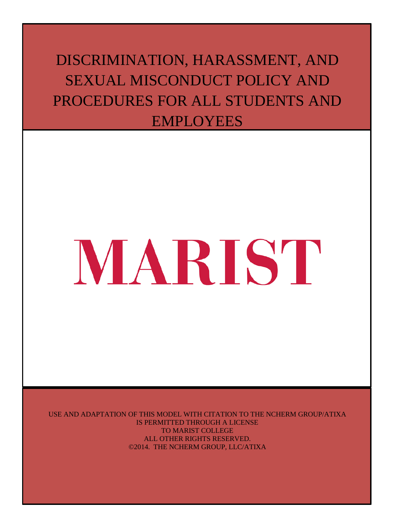# DISCRIMINATION, HARASSMENT, AND SEXUAL MISCONDUCT POLICY AND PROCEDURES FOR ALL STUDENTS AND EMPLOYEES

# MARIST

USE AND ADAPTATION OF THIS MODEL WITH CITATION TO THE NCHERM GROUP/ATIXA IS PERMITTED THROUGH A LICENSE TO MARIST COLLEGE ALL OTHER RIGHTS RESERVED. ©2014. THE NCHERM GROUP, LLC/ATIXA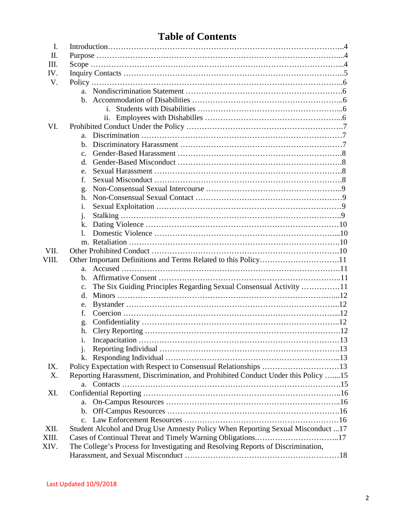| <b>Table of Contents</b> |  |  |
|--------------------------|--|--|
|--------------------------|--|--|

| $\mathbf{I}$ . |                                                                                      |  |
|----------------|--------------------------------------------------------------------------------------|--|
| П.             |                                                                                      |  |
| Ш.             |                                                                                      |  |
| IV.            |                                                                                      |  |
| V.             |                                                                                      |  |
|                | $a_{-}$                                                                              |  |
|                |                                                                                      |  |
|                |                                                                                      |  |
|                | 11.                                                                                  |  |
| VI.            |                                                                                      |  |
|                | a.                                                                                   |  |
|                | $\mathbf b$ .                                                                        |  |
|                | $\mathbf{c}$ .                                                                       |  |
|                | d.                                                                                   |  |
|                | e.                                                                                   |  |
|                | f.                                                                                   |  |
|                | g.                                                                                   |  |
|                | h.                                                                                   |  |
|                | 1.                                                                                   |  |
|                | j.                                                                                   |  |
|                | k.                                                                                   |  |
|                |                                                                                      |  |
|                |                                                                                      |  |
| VII.           |                                                                                      |  |
| VIII.          | Other Important Definitions and Terms Related to this Policy11                       |  |
|                | a.                                                                                   |  |
|                | $\mathbf{b}$ .                                                                       |  |
|                | The Six Guiding Principles Regarding Sexual Consensual Activity 11<br>$\mathbf{c}$ . |  |
|                | d.                                                                                   |  |
|                | e.                                                                                   |  |
|                | f.                                                                                   |  |
|                | g.                                                                                   |  |
|                | h.                                                                                   |  |
|                | 1.                                                                                   |  |
|                | j.                                                                                   |  |
|                | k.                                                                                   |  |
| IX.            | Policy Expectation with Respect to Consensual Relationships 13                       |  |
| X.             | Reporting Harassment, Discrimination, and Prohibited Conduct Under this Policy 15    |  |
|                |                                                                                      |  |
| XI.            |                                                                                      |  |
|                | a.                                                                                   |  |
|                | $\mathbf{b}$ .                                                                       |  |
|                | $\mathbf{c}$ .                                                                       |  |
| XII.           | Student Alcohol and Drug Use Amnesty Policy When Reporting Sexual Misconduct 17      |  |
| XIII.          | Cases of Continual Threat and Timely Warning Obligations17                           |  |
| XIV.           | The College's Process for Investigating and Resolving Reports of Discrimination,     |  |
|                |                                                                                      |  |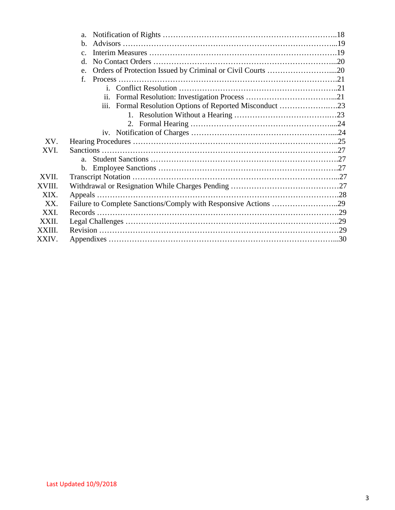|        | a.                                                               |  |
|--------|------------------------------------------------------------------|--|
|        | $h_{\cdot}$                                                      |  |
|        | $C_{-}$                                                          |  |
|        | d.                                                               |  |
|        | Orders of Protection Issued by Criminal or Civil Courts 20<br>e. |  |
|        | f.                                                               |  |
|        |                                                                  |  |
|        | $\overline{11}$ .                                                |  |
|        |                                                                  |  |
|        |                                                                  |  |
|        |                                                                  |  |
|        |                                                                  |  |
| XV.    |                                                                  |  |
| XVI.   |                                                                  |  |
|        | $a_{-}$                                                          |  |
|        |                                                                  |  |
| XVII.  |                                                                  |  |
| XVIII. |                                                                  |  |
| XIX.   |                                                                  |  |
| XX.    | Failure to Complete Sanctions/Comply with Responsive Actions 29  |  |
| XXI.   |                                                                  |  |
| XXII.  |                                                                  |  |
| XXIII. |                                                                  |  |
| XXIV.  |                                                                  |  |
|        |                                                                  |  |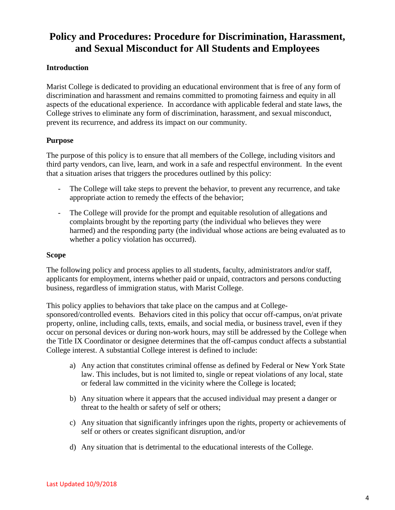## **Policy and Procedures: Procedure for Discrimination, Harassment, and Sexual Misconduct for All Students and Employees**

#### **Introduction**

Marist College is dedicated to providing an educational environment that is free of any form of discrimination and harassment and remains committed to promoting fairness and equity in all aspects of the educational experience. In accordance with applicable federal and state laws, the College strives to eliminate any form of discrimination, harassment, and sexual misconduct, prevent its recurrence, and address its impact on our community.

#### **Purpose**

The purpose of this policy is to ensure that all members of the College, including visitors and third party vendors, can live, learn, and work in a safe and respectful environment. In the event that a situation arises that triggers the procedures outlined by this policy:

- The College will take steps to prevent the behavior, to prevent any recurrence, and take appropriate action to remedy the effects of the behavior;
- The College will provide for the prompt and equitable resolution of allegations and complaints brought by the reporting party (the individual who believes they were harmed) and the responding party (the individual whose actions are being evaluated as to whether a policy violation has occurred).

#### **Scope**

The following policy and process applies to all students, faculty, administrators and/or staff, applicants for employment, interns whether paid or unpaid, contractors and persons conducting business, regardless of immigration status, with Marist College.

This policy applies to behaviors that take place on the campus and at Collegesponsored/controlled events. Behaviors cited in this policy that occur off-campus, on/at private property, online, including calls, texts, emails, and social media, or business travel, even if they occur on personal devices or during non-work hours, may still be addressed by the College when the Title IX Coordinator or designee determines that the off-campus conduct affects a substantial College interest. A substantial College interest is defined to include:

- a) Any action that constitutes criminal offense as defined by Federal or New York State law. This includes, but is not limited to, single or repeat violations of any local, state or federal law committed in the vicinity where the College is located;
- b) Any situation where it appears that the accused individual may present a danger or threat to the health or safety of self or others;
- c) Any situation that significantly infringes upon the rights, property or achievements of self or others or creates significant disruption, and/or
- d) Any situation that is detrimental to the educational interests of the College.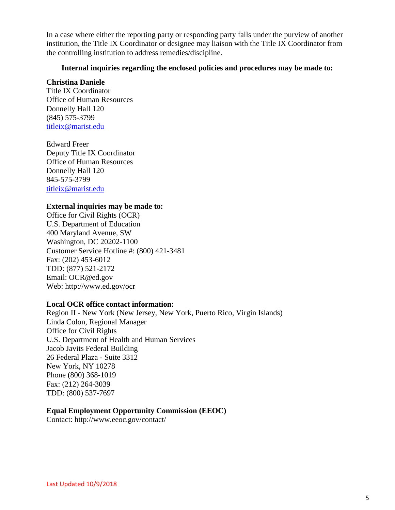In a case where either the reporting party or responding party falls under the purview of another institution, the Title IX Coordinator or designee may liaison with the Title IX Coordinator from the controlling institution to address remedies/discipline.

#### **Internal inquiries regarding the enclosed policies and procedures may be made to:**

#### **Christina Daniele**

Title IX Coordinator Office of Human Resources Donnelly Hall 120 (845) 575-3799 [titleix@marist.edu](mailto:titleix@marist.edu)

Edward Freer Deputy Title IX Coordinator Office of Human Resources Donnelly Hall 120 845-575-3799 [titleix@marist.edu](mailto:titleix@marist.edu)

#### **External inquiries may be made to:**

Office for Civil Rights (OCR) U.S. Department of Education 400 Maryland Avenue, SW Washington, DC 20202-1100 Customer Service Hotline #: (800) 421-3481 Fax: (202) 453-6012 TDD: (877) 521-2172 Email: [OCR@ed.gov](mailto:OCR@ed.gov) Web: [http://www.ed.gov/ocr](http://www2.ed.gov/about/offices/list/ocr/index.html)

#### **Local OCR office contact information:**

Region II - New York (New Jersey, New York, Puerto Rico, Virgin Islands) Linda Colon, Regional Manager Office for Civil Rights U.S. Department of Health and Human Services Jacob Javits Federal Building 26 Federal Plaza - Suite 3312 New York, NY 10278 Phone (800) 368-1019 Fax: (212) 264-3039 TDD: (800) 537-7697

#### **Equal Employment Opportunity Commission (EEOC)**

Contact:<http://www.eeoc.gov/contact/>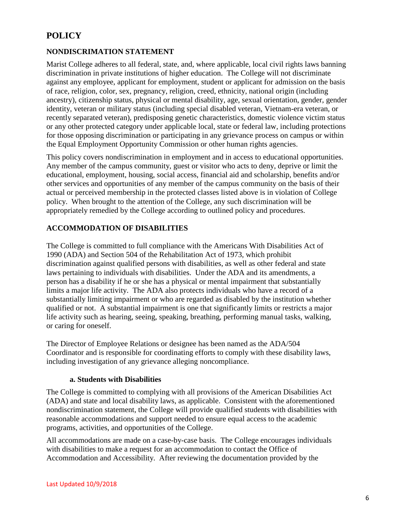### **POLICY**

#### **NONDISCRIMATION STATEMENT**

Marist College adheres to all federal, state, and, where applicable, local civil rights laws banning discrimination in private institutions of higher education. The College will not discriminate against any employee, applicant for employment, student or applicant for admission on the basis of race, religion, color, sex, pregnancy, religion, creed, ethnicity, national origin (including ancestry), citizenship status, physical or mental disability, age, sexual orientation, gender, gender identity, veteran or military status (including special disabled veteran, Vietnam-era veteran, or recently separated veteran), predisposing genetic characteristics, domestic violence victim status or any other protected category under applicable local, state or federal law, including protections for those opposing discrimination or participating in any grievance process on campus or within the Equal Employment Opportunity Commission or other human rights agencies.

This policy covers nondiscrimination in employment and in access to educational opportunities. Any member of the campus community, guest or visitor who acts to deny, deprive or limit the educational, employment, housing, social access, financial aid and scholarship, benefits and/or other services and opportunities of any member of the campus community on the basis of their actual or perceived membership in the protected classes listed above is in violation of College policy. When brought to the attention of the College, any such discrimination will be appropriately remedied by the College according to outlined policy and procedures.

#### **ACCOMMODATION OF DISABILITIES**

The College is committed to full compliance with the Americans With Disabilities Act of 1990 (ADA) and Section 504 of the Rehabilitation Act of 1973, which prohibit discrimination against qualified persons with disabilities, as well as other federal and state laws pertaining to individuals with disabilities. Under the ADA and its amendments, a person has a disability if he or she has a physical or mental impairment that substantially limits a major life activity. The ADA also protects individuals who have a record of a substantially limiting impairment or who are regarded as disabled by the institution whether qualified or not. A substantial impairment is one that significantly limits or restricts a major life activity such as hearing, seeing, speaking, breathing, performing manual tasks, walking, or caring for oneself.

The Director of Employee Relations or designee has been named as the ADA/504 Coordinator and is responsible for coordinating efforts to comply with these disability laws, including investigation of any grievance alleging noncompliance.

#### **a. Students with Disabilities**

The College is committed to complying with all provisions of the American Disabilities Act (ADA) and state and local disability laws, as applicable. Consistent with the aforementioned nondiscrimination statement, the College will provide qualified students with disabilities with reasonable accommodations and support needed to ensure equal access to the academic programs, activities, and opportunities of the College.

All accommodations are made on a case-by-case basis. The College encourages individuals with disabilities to make a request for an accommodation to contact the Office of Accommodation and Accessibility. After reviewing the documentation provided by the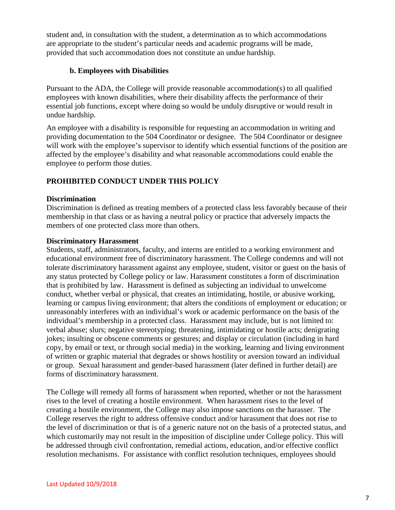student and, in consultation with the student, a determination as to which accommodations are appropriate to the student's particular needs and academic programs will be made, provided that such accommodation does not constitute an undue hardship.

#### **b. Employees with Disabilities**

Pursuant to the ADA, the College will provide reasonable accommodation(s) to all qualified employees with known disabilities, where their disability affects the performance of their essential job functions, except where doing so would be unduly disruptive or would result in undue hardship.

An employee with a disability is responsible for requesting an accommodation in writing and providing documentation to the 504 Coordinator or designee. The 504 Coordinator or designee will work with the employee's supervisor to identify which essential functions of the position are affected by the employee's disability and what reasonable accommodations could enable the employee to perform those duties.

#### **PROHIBITED CONDUCT UNDER THIS POLICY**

#### **Discrimination**

Discrimination is defined as treating members of a protected class less favorably because of their membership in that class or as having a neutral policy or practice that adversely impacts the members of one protected class more than others.

#### **Discriminatory Harassment**

Students, staff, administrators, faculty, and interns are entitled to a working environment and educational environment free of discriminatory harassment. The College condemns and will not tolerate discriminatory harassment against any employee, student, visitor or guest on the basis of any status protected by College policy or law. Harassment constitutes a form of discrimination that is prohibited by law. Harassment is defined as subjecting an individual to unwelcome conduct, whether verbal or physical, that creates an intimidating, hostile, or abusive working, learning or campus living environment; that alters the conditions of employment or education; or unreasonably interferes with an individual's work or academic performance on the basis of the individual's membership in a protected class. Harassment may include, but is not limited to: verbal abuse; slurs; negative stereotyping; threatening, intimidating or hostile acts; denigrating jokes; insulting or obscene comments or gestures; and display or circulation (including in hard copy, by email or text, or through social media) in the working, learning and living environment of written or graphic material that degrades or shows hostility or aversion toward an individual or group. Sexual harassment and gender-based harassment (later defined in further detail) are forms of discriminatory harassment.

The College will remedy all forms of harassment when reported, whether or not the harassment rises to the level of creating a hostile environment. When harassment rises to the level of creating a hostile environment, the College may also impose sanctions on the harasser. The College reserves the right to address offensive conduct and/or harassment that does not rise to the level of discrimination or that is of a generic nature not on the basis of a protected status, and which customarily may not result in the imposition of discipline under College policy. This will be addressed through civil confrontation, remedial actions, education, and/or effective conflict resolution mechanisms. For assistance with conflict resolution techniques, employees should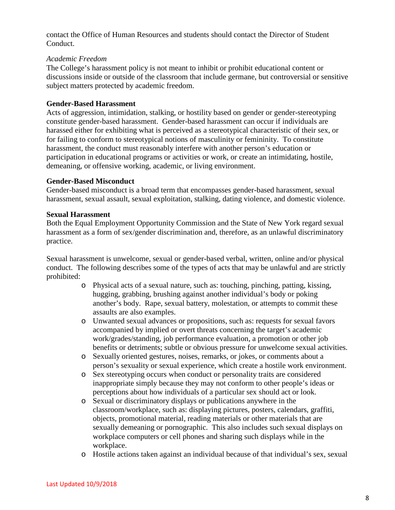contact the Office of Human Resources and students should contact the Director of Student Conduct.

#### *Academic Freedom*

The College's harassment policy is not meant to inhibit or prohibit educational content or discussions inside or outside of the classroom that include germane, but controversial or sensitive subject matters protected by academic freedom.

#### **Gender-Based Harassment**

Acts of aggression, intimidation, stalking, or hostility based on gender or gender-stereotyping constitute gender-based harassment. Gender-based harassment can occur if individuals are harassed either for exhibiting what is perceived as a stereotypical characteristic of their sex, or for failing to conform to stereotypical notions of masculinity or femininity. To constitute harassment, the conduct must reasonably interfere with another person's education or participation in educational programs or activities or work, or create an intimidating, hostile, demeaning, or offensive working, academic, or living environment.

#### **Gender-Based Misconduct**

Gender-based misconduct is a broad term that encompasses gender-based harassment, sexual harassment, sexual assault, sexual exploitation, stalking, dating violence, and domestic violence.

#### **Sexual Harassment**

Both the Equal Employment Opportunity Commission and the State of New York regard sexual harassment as a form of sex/gender discrimination and, therefore, as an unlawful discriminatory practice.

Sexual harassment is unwelcome, sexual or gender-based verbal, written, online and/or physical conduct. The following describes some of the types of acts that may be unlawful and are strictly prohibited:

- o Physical acts of a sexual nature, such as: touching, pinching, patting, kissing, hugging, grabbing, brushing against another individual's body or poking another's body. Rape, sexual battery, molestation, or attempts to commit these assaults are also examples.
- o Unwanted sexual advances or propositions, such as: requests for sexual favors accompanied by implied or overt threats concerning the target's academic work/grades/standing, job performance evaluation, a promotion or other job benefits or detriments; subtle or obvious pressure for unwelcome sexual activities.
- o Sexually oriented gestures, noises, remarks, or jokes, or comments about a person's sexuality or sexual experience, which create a hostile work environment.
- o Sex stereotyping occurs when conduct or personality traits are considered inappropriate simply because they may not conform to other people's ideas or perceptions about how individuals of a particular sex should act or look.
- o Sexual or discriminatory displays or publications anywhere in the classroom/workplace, such as: displaying pictures, posters, calendars, graffiti, objects, promotional material, reading materials or other materials that are sexually demeaning or pornographic. This also includes such sexual displays on workplace computers or cell phones and sharing such displays while in the workplace.
- o Hostile actions taken against an individual because of that individual's sex, sexual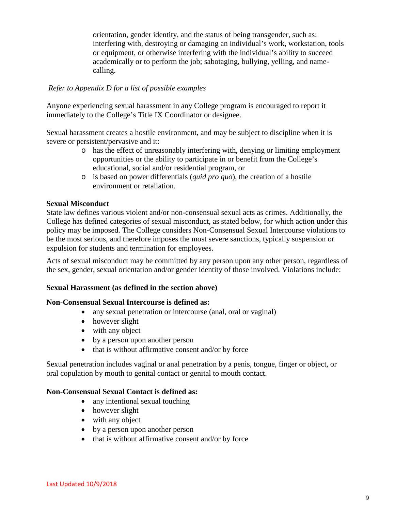orientation, gender identity, and the status of being transgender, such as: interfering with, destroying or damaging an individual's work, workstation, tools or equipment, or otherwise interfering with the individual's ability to succeed academically or to perform the job; sabotaging, bullying, yelling, and namecalling.

#### *Refer to Appendix D for a list of possible examples*

Anyone experiencing sexual harassment in any College program is encouraged to report it immediately to the College's Title IX Coordinator or designee.

Sexual harassment creates a hostile environment, and may be subject to discipline when it is severe or persistent/pervasive and it:

- o has the effect of unreasonably interfering with, denying or limiting employment opportunities or the ability to participate in or benefit from the College's educational, social and/or residential program, or
- o is based on power differentials (*quid pro quo*), the creation of a hostile environment or retaliation.

#### **Sexual Misconduct**

State law defines various violent and/or non-consensual sexual acts as crimes. Additionally, the College has defined categories of sexual misconduct, as stated below, for which action under this policy may be imposed. The College considers Non-Consensual Sexual Intercourse violations to be the most serious, and therefore imposes the most severe sanctions, typically suspension or expulsion for students and termination for employees.

Acts of sexual misconduct may be committed by any person upon any other person, regardless of the sex, gender, sexual orientation and/or gender identity of those involved. Violations include:

#### **Sexual Harassment (as defined in the section above)**

#### **Non-Consensual Sexual Intercourse is defined as:**

- any sexual penetration or intercourse (anal, oral or vaginal)
- however slight
- with any object
- by a person upon another person
- that is without affirmative consent and/or by force

Sexual penetration includes vaginal or anal penetration by a penis, tongue, finger or object, or oral copulation by mouth to genital contact or genital to mouth contact.

#### **Non-Consensual Sexual Contact is defined as:**

- any intentional sexual touching
- however slight
- with any object
- by a person upon another person
- that is without affirmative consent and/or by force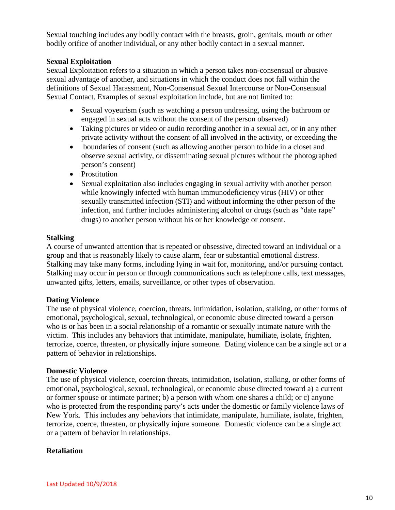Sexual touching includes any bodily contact with the breasts, groin, genitals, mouth or other bodily orifice of another individual, or any other bodily contact in a sexual manner.

#### **Sexual Exploitation**

Sexual Exploitation refers to a situation in which a person takes non-consensual or abusive sexual advantage of another, and situations in which the conduct does not fall within the definitions of Sexual Harassment, Non-Consensual Sexual Intercourse or Non-Consensual Sexual Contact. Examples of sexual exploitation include, but are not limited to:

- Sexual voyeurism (such as watching a person undressing, using the bathroom or engaged in sexual acts without the consent of the person observed)
- Taking pictures or video or audio recording another in a sexual act, or in any other private activity without the consent of all involved in the activity, or exceeding the
- boundaries of consent (such as allowing another person to hide in a closet and observe sexual activity, or disseminating sexual pictures without the photographed person's consent)
- Prostitution
- Sexual exploitation also includes engaging in sexual activity with another person while knowingly infected with human immunodeficiency virus (HIV) or other sexually transmitted infection (STI) and without informing the other person of the infection, and further includes administering alcohol or drugs (such as "date rape" drugs) to another person without his or her knowledge or consent.

#### **Stalking**

A course of unwanted attention that is repeated or obsessive, directed toward an individual or a group and that is reasonably likely to cause alarm, fear or substantial emotional distress. Stalking may take many forms, including lying in wait for, monitoring, and/or pursuing contact. Stalking may occur in person or through communications such as telephone calls, text messages, unwanted gifts, letters, emails, surveillance, or other types of observation.

#### **Dating Violence**

The use of physical violence, coercion, threats, intimidation, isolation, stalking, or other forms of emotional, psychological, sexual, technological, or economic abuse directed toward a person who is or has been in a social relationship of a romantic or sexually intimate nature with the victim. This includes any behaviors that intimidate, manipulate, humiliate, isolate, frighten, terrorize, coerce, threaten, or physically injure someone. Dating violence can be a single act or a pattern of behavior in relationships.

#### **Domestic Violence**

The use of physical violence, coercion threats, intimidation, isolation, stalking, or other forms of emotional, psychological, sexual, technological, or economic abuse directed toward a) a current or former spouse or intimate partner; b) a person with whom one shares a child; or c) anyone who is protected from the responding party's acts under the domestic or family violence laws of New York. This includes any behaviors that intimidate, manipulate, humiliate, isolate, frighten, terrorize, coerce, threaten, or physically injure someone. Domestic violence can be a single act or a pattern of behavior in relationships.

#### **Retaliation**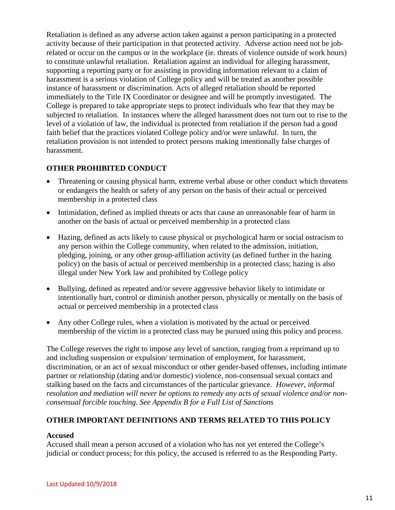Retaliation is defined as any adverse action taken against a person participating in a protected activity because of their participation in that protected activity. Adverse action need not be jobrelated or occur on the campus or in the workplace (ie. threats of violence outside of work hours) to constitute unlawful retaliation. Retaliation against an individual for alleging harassment, supporting a reporting party or for assisting in providing information relevant to a claim of harassment is a serious violation of College policy and will be treated as another possible instance of harassment or discrimination. Acts of alleged retaliation should be reported immediately to the Title IX Coordinator or designee and will be promptly investigated. The College is prepared to take appropriate steps to protect individuals who fear that they may be subjected to retaliation. In instances where the alleged harassment does not turn out to rise to the level of a violation of law, the individual is protected from retaliation if the person had a good faith belief that the practices violated College policy and/or were unlawful. In turn, the retaliation provision is not intended to protect persons making intentionally false charges of harassment.

#### **OTHER PROHIBITED CONDUCT**

- Threatening or causing physical harm, extreme verbal abuse or other conduct which threatens or endangers the health or safety of any person on the basis of their actual or perceived membership in a protected class
- Intimidation, defined as implied threats or acts that cause an unreasonable fear of harm in another on the basis of actual or perceived membership in a protected class
- Hazing, defined as acts likely to cause physical or psychological harm or social ostracism to any person within the College community, when related to the admission, initiation, pledging, joining, or any other group-affiliation activity (as defined further in the hazing policy) on the basis of actual or perceived membership in a protected class; hazing is also illegal under New York law and prohibited by College policy
- Bullying, defined as repeated and/or severe aggressive behavior likely to intimidate or intentionally hurt, control or diminish another person, physically or mentally on the basis of actual or perceived membership in a protected class
- Any other College rules, when a violation is motivated by the actual or perceived membership of the victim in a protected class may be pursued using this policy and process.

The College reserves the right to impose any level of sanction, ranging from a reprimand up to and including suspension or expulsion/ termination of employment, for harassment, discrimination, or an act of sexual misconduct or other gender-based offenses, including intimate partner or relationship (dating and/or domestic) violence, non-consensual sexual contact and stalking based on the facts and circumstances of the particular grievance. *However, informal resolution and mediation will never be options to remedy any acts of sexual violence and/or nonconsensual forcible touching. See Appendix B for a Full List of Sanctions*

#### **OTHER IMPORTANT DEFINITIONS AND TERMS RELATED TO THIS POLICY**

#### **Accused**

Accused shall mean a person accused of a violation who has not yet entered the College's judicial or conduct process; for this policy, the accused is referred to as the Responding Party.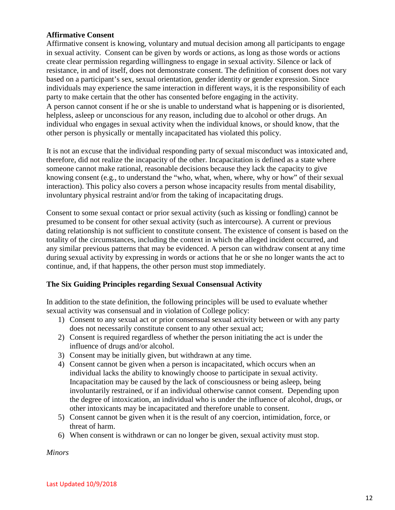#### **Affirmative Consent**

Affirmative consent is knowing, voluntary and mutual decision among all participants to engage in sexual activity. Consent can be given by words or actions, as long as those words or actions create clear permission regarding willingness to engage in sexual activity. Silence or lack of resistance, in and of itself, does not demonstrate consent. The definition of consent does not vary based on a participant's sex, sexual orientation, gender identity or gender expression. Since individuals may experience the same interaction in different ways, it is the responsibility of each party to make certain that the other has consented before engaging in the activity. A person cannot consent if he or she is unable to understand what is happening or is disoriented, helpless, asleep or unconscious for any reason, including due to alcohol or other drugs. An individual who engages in sexual activity when the individual knows, or should know, that the other person is physically or mentally incapacitated has violated this policy.

It is not an excuse that the individual responding party of sexual misconduct was intoxicated and, therefore, did not realize the incapacity of the other. Incapacitation is defined as a state where someone cannot make rational, reasonable decisions because they lack the capacity to give knowing consent (e.g., to understand the "who, what, when, where, why or how" of their sexual interaction). This policy also covers a person whose incapacity results from mental disability, involuntary physical restraint and/or from the taking of incapacitating drugs.

Consent to some sexual contact or prior sexual activity (such as kissing or fondling) cannot be presumed to be consent for other sexual activity (such as intercourse). A current or previous dating relationship is not sufficient to constitute consent. The existence of consent is based on the totality of the circumstances, including the context in which the alleged incident occurred, and any similar previous patterns that may be evidenced. A person can withdraw consent at any time during sexual activity by expressing in words or actions that he or she no longer wants the act to continue, and, if that happens, the other person must stop immediately.

#### **The Six Guiding Principles regarding Sexual Consensual Activity**

In addition to the state definition, the following principles will be used to evaluate whether sexual activity was consensual and in violation of College policy:

- 1) Consent to any sexual act or prior consensual sexual activity between or with any party does not necessarily constitute consent to any other sexual act;
- 2) Consent is required regardless of whether the person initiating the act is under the influence of drugs and/or alcohol.
- 3) Consent may be initially given, but withdrawn at any time.
- 4) Consent cannot be given when a person is incapacitated, which occurs when an individual lacks the ability to knowingly choose to participate in sexual activity. Incapacitation may be caused by the lack of consciousness or being asleep, being involuntarily restrained, or if an individual otherwise cannot consent. Depending upon the degree of intoxication, an individual who is under the influence of alcohol, drugs, or other intoxicants may be incapacitated and therefore unable to consent.
- 5) Consent cannot be given when it is the result of any coercion, intimidation, force, or threat of harm.
- 6) When consent is withdrawn or can no longer be given, sexual activity must stop.

*Minors*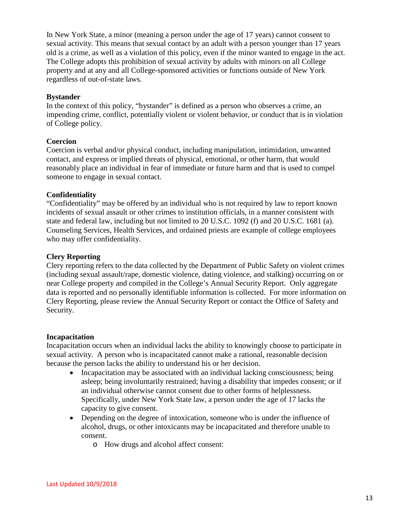In New York State, a minor (meaning a person under the age of 17 years) cannot consent to sexual activity. This means that sexual contact by an adult with a person younger than 17 years old is a crime, as well as a violation of this policy, even if the minor wanted to engage in the act. The College adopts this prohibition of sexual activity by adults with minors on all College property and at any and all College-sponsored activities or functions outside of New York regardless of out-of-state laws.

#### **Bystander**

In the context of this policy, "bystander" is defined as a person who observes a crime, an impending crime, conflict, potentially violent or violent behavior, or conduct that is in violation of College policy.

#### **Coercion**

Coercion is verbal and/or physical conduct, including manipulation, intimidation, unwanted contact, and express or implied threats of physical, emotional, or other harm, that would reasonably place an individual in fear of immediate or future harm and that is used to compel someone to engage in sexual contact.

#### **Confidentiality**

"Confidentiality" may be offered by an individual who is not required by law to report known incidents of sexual assault or other crimes to institution officials, in a manner consistent with state and federal law, including but not limited to 20 U.S.C. 1092 (f) and 20 U.S.C. 1681 (a). Counseling Services, Health Services, and ordained priests are example of college employees who may offer confidentiality.

#### **Clery Reporting**

Clery reporting refers to the data collected by the Department of Public Safety on violent crimes (including sexual assault/rape, domestic violence, dating violence, and stalking) occurring on or near College property and compiled in the College's Annual Security Report. Only aggregate data is reported and no personally identifiable information is collected. For more information on Clery Reporting, please review the Annual Security Report or contact the Office of Safety and Security.

#### **Incapacitation**

Incapacitation occurs when an individual lacks the ability to knowingly choose to participate in sexual activity. A person who is incapacitated cannot make a rational, reasonable decision because the person lacks the ability to understand his or her decision.

- Incapacitation may be associated with an individual lacking consciousness; being asleep; being involuntarily restrained; having a disability that impedes consent; or if an individual otherwise cannot consent due to other forms of helplessness. Specifically, under New York State law, a person under the age of 17 lacks the capacity to give consent.
- Depending on the degree of intoxication, someone who is under the influence of alcohol, drugs, or other intoxicants may be incapacitated and therefore unable to consent.
	- o How drugs and alcohol affect consent: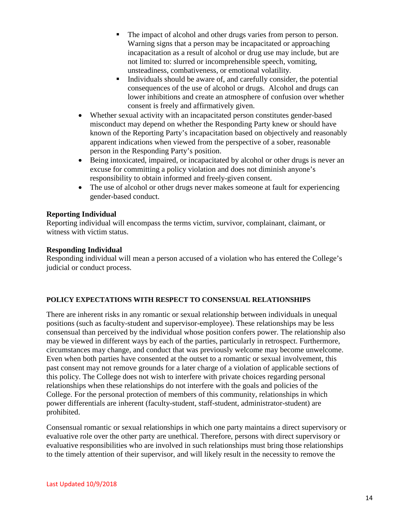- The impact of alcohol and other drugs varies from person to person. Warning signs that a person may be incapacitated or approaching incapacitation as a result of alcohol or drug use may include, but are not limited to: slurred or incomprehensible speech, vomiting, unsteadiness, combativeness, or emotional volatility.
- Individuals should be aware of, and carefully consider, the potential consequences of the use of alcohol or drugs. Alcohol and drugs can lower inhibitions and create an atmosphere of confusion over whether consent is freely and affirmatively given.
- Whether sexual activity with an incapacitated person constitutes gender-based misconduct may depend on whether the Responding Party knew or should have known of the Reporting Party's incapacitation based on objectively and reasonably apparent indications when viewed from the perspective of a sober, reasonable person in the Responding Party's position.
- Being intoxicated, impaired, or incapacitated by alcohol or other drugs is never an excuse for committing a policy violation and does not diminish anyone's responsibility to obtain informed and freely-given consent.
- The use of alcohol or other drugs never makes someone at fault for experiencing gender-based conduct.

#### **Reporting Individual**

Reporting individual will encompass the terms victim, survivor, complainant, claimant, or witness with victim status.

#### **Responding Individual**

Responding individual will mean a person accused of a violation who has entered the College's judicial or conduct process.

#### **POLICY EXPECTATIONS WITH RESPECT TO CONSENSUAL RELATIONSHIPS**

There are inherent risks in any romantic or sexual relationship between individuals in unequal positions (such as faculty-student and supervisor-employee). These relationships may be less consensual than perceived by the individual whose position confers power. The relationship also may be viewed in different ways by each of the parties, particularly in retrospect. Furthermore, circumstances may change, and conduct that was previously welcome may become unwelcome. Even when both parties have consented at the outset to a romantic or sexual involvement, this past consent may not remove grounds for a later charge of a violation of applicable sections of this policy. The College does not wish to interfere with private choices regarding personal relationships when these relationships do not interfere with the goals and policies of the College. For the personal protection of members of this community, relationships in which power differentials are inherent (faculty-student, staff-student, administrator-student) are prohibited.

Consensual romantic or sexual relationships in which one party maintains a direct supervisory or evaluative role over the other party are unethical. Therefore, persons with direct supervisory or evaluative responsibilities who are involved in such relationships must bring those relationships to the timely attention of their supervisor, and will likely result in the necessity to remove the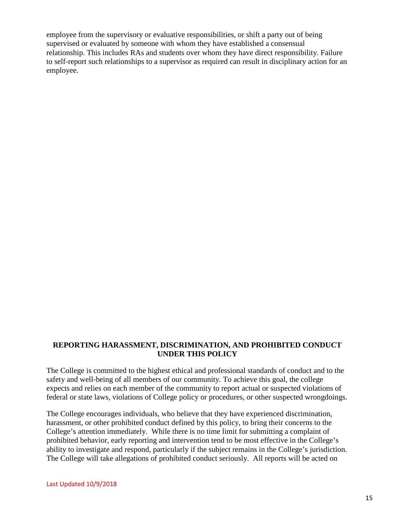employee from the supervisory or evaluative responsibilities, or shift a party out of being supervised or evaluated by someone with whom they have established a consensual relationship. This includes RAs and students over whom they have direct responsibility. Failure to self-report such relationships to a supervisor as required can result in disciplinary action for an employee.

#### **REPORTING HARASSMENT, DISCRIMINATION, AND PROHIBITED CONDUCT UNDER THIS POLICY**

The College is committed to the highest ethical and professional standards of conduct and to the safety and well-being of all members of our community. To achieve this goal, the college expects and relies on each member of the community to report actual or suspected violations of federal or state laws, violations of College policy or procedures, or other suspected wrongdoings.

The College encourages individuals, who believe that they have experienced discrimination, harassment, or other prohibited conduct defined by this policy, to bring their concerns to the College's attention immediately. While there is no time limit for submitting a complaint of prohibited behavior, early reporting and intervention tend to be most effective in the College's ability to investigate and respond, particularly if the subject remains in the College's jurisdiction. The College will take allegations of prohibited conduct seriously. All reports will be acted on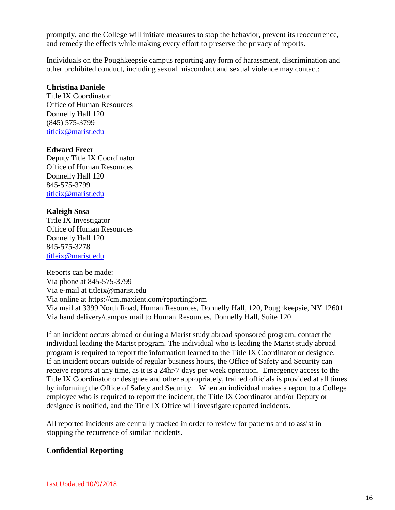promptly, and the College will initiate measures to stop the behavior, prevent its reoccurrence, and remedy the effects while making every effort to preserve the privacy of reports.

Individuals on the Poughkeepsie campus reporting any form of harassment, discrimination and other prohibited conduct, including sexual misconduct and sexual violence may contact:

#### **Christina Daniele**

Title IX Coordinator Office of Human Resources Donnelly Hall 120 (845) 575-3799 [titleix@marist.edu](mailto:titleix@marist.edu)

#### **Edward Freer**

Deputy Title IX Coordinator Office of Human Resources Donnelly Hall 120 845-575-3799 [titleix@marist.edu](mailto:titleix@marist.edu)

#### **Kaleigh Sosa**

Title IX Investigator Office of Human Resources Donnelly Hall 120 845-575-3278 [titleix@marist.edu](mailto:titleix@marist.edu)

Reports can be made: Via phone at 845-575-3799 Via e-mail at titleix@marist.edu Via online at https://cm.maxient.com/reportingform Via mail at 3399 North Road, Human Resources, Donnelly Hall, 120, Poughkeepsie, NY 12601 Via hand delivery/campus mail to Human Resources, Donnelly Hall, Suite 120

If an incident occurs abroad or during a Marist study abroad sponsored program, contact the individual leading the Marist program. The individual who is leading the Marist study abroad program is required to report the information learned to the Title IX Coordinator or designee. If an incident occurs outside of regular business hours, the Office of Safety and Security can receive reports at any time, as it is a 24hr/7 days per week operation. Emergency access to the Title IX Coordinator or designee and other appropriately, trained officials is provided at all times by informing the Office of Safety and Security. When an individual makes a report to a College employee who is required to report the incident, the Title IX Coordinator and/or Deputy or designee is notified, and the Title IX Office will investigate reported incidents.

All reported incidents are centrally tracked in order to review for patterns and to assist in stopping the recurrence of similar incidents.

#### **Confidential Reporting**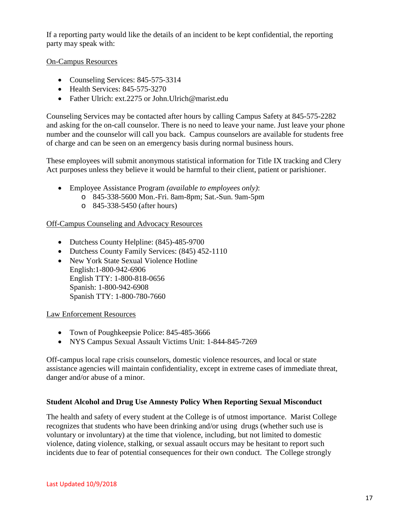If a reporting party would like the details of an incident to be kept confidential, the reporting party may speak with:

#### On-Campus Resources

- Counseling Services: 845-575-3314
- Health Services: 845-575-3270
- Father Ulrich: ext.2275 or John. Ulrich@marist.edu

Counseling Services may be contacted after hours by calling Campus Safety at 845-575-2282 and asking for the on-call counselor. There is no need to leave your name. Just leave your phone number and the counselor will call you back. Campus counselors are available for students free of charge and can be seen on an emergency basis during normal business hours.

These employees will submit anonymous statistical information for Title IX tracking and Clery Act purposes unless they believe it would be harmful to their client, patient or parishioner.

- Employee Assistance Program *(available to employees only)*:
	- o 845-338-5600 Mon.-Fri. 8am-8pm; Sat.-Sun. 9am-5pm
	- o 845-338-5450 (after hours)

#### Off-Campus Counseling and Advocacy Resources

- Dutchess County Helpline: (845)-485-9700
- Dutchess County Family Services: (845) 452-1110
- New York State Sexual Violence Hotline English:1-800-942-6906 English TTY: 1-800-818-0656 Spanish: 1-800-942-6908 Spanish TTY: 1-800-780-7660

Law Enforcement Resources

- Town of Poughkeepsie Police: 845-485-3666
- NYS Campus Sexual Assault Victims Unit: 1-844-845-7269

Off-campus local rape crisis counselors, domestic violence resources, and local or state assistance agencies will maintain confidentiality, except in extreme cases of immediate threat, danger and/or abuse of a minor.

#### **Student Alcohol and Drug Use Amnesty Policy When Reporting Sexual Misconduct**

The health and safety of every student at the College is of utmost importance. Marist College recognizes that students who have been drinking and/or using drugs (whether such use is voluntary or involuntary) at the time that violence, including, but not limited to domestic violence, dating violence, stalking, or sexual assault occurs may be hesitant to report such incidents due to fear of potential consequences for their own conduct. The College strongly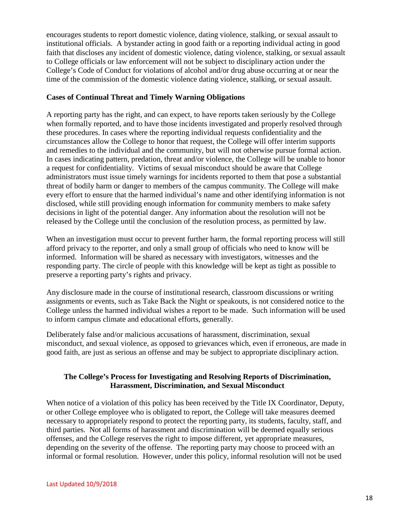encourages students to report domestic violence, dating violence, stalking, or sexual assault to institutional officials. A bystander acting in good faith or a reporting individual acting in good faith that discloses any incident of domestic violence, dating violence, stalking, or sexual assault to College officials or law enforcement will not be subject to disciplinary action under the College's Code of Conduct for violations of alcohol and/or drug abuse occurring at or near the time of the commission of the domestic violence dating violence, stalking, or sexual assault.

#### **Cases of Continual Threat and Timely Warning Obligations**

A reporting party has the right, and can expect, to have reports taken seriously by the College when formally reported, and to have those incidents investigated and properly resolved through these procedures. In cases where the reporting individual requests confidentiality and the circumstances allow the College to honor that request, the College will offer interim supports and remedies to the individual and the community, but will not otherwise pursue formal action. In cases indicating pattern, predation, threat and/or violence, the College will be unable to honor a request for confidentiality. Victims of sexual misconduct should be aware that College administrators must issue timely warnings for incidents reported to them that pose a substantial threat of bodily harm or danger to members of the campus community. The College will make every effort to ensure that the harmed individual's name and other identifying information is not disclosed, while still providing enough information for community members to make safety decisions in light of the potential danger. Any information about the resolution will not be released by the College until the conclusion of the resolution process, as permitted by law.

When an investigation must occur to prevent further harm, the formal reporting process will still afford privacy to the reporter, and only a small group of officials who need to know will be informed. Information will be shared as necessary with investigators, witnesses and the responding party. The circle of people with this knowledge will be kept as tight as possible to preserve a reporting party's rights and privacy.

Any disclosure made in the course of institutional research, classroom discussions or writing assignments or events, such as Take Back the Night or speakouts, is not considered notice to the College unless the harmed individual wishes a report to be made. Such information will be used to inform campus climate and educational efforts, generally.

Deliberately false and/or malicious accusations of harassment, discrimination, sexual misconduct, and sexual violence, as opposed to grievances which, even if erroneous, are made in good faith, are just as serious an offense and may be subject to appropriate disciplinary action.

#### **The College's Process for Investigating and Resolving Reports of Discrimination, Harassment, Discrimination, and Sexual Misconduct**

When notice of a violation of this policy has been received by the Title IX Coordinator, Deputy, or other College employee who is obligated to report, the College will take measures deemed necessary to appropriately respond to protect the reporting party, its students, faculty, staff, and third parties. Not all forms of harassment and discrimination will be deemed equally serious offenses, and the College reserves the right to impose different, yet appropriate measures, depending on the severity of the offense. The reporting party may choose to proceed with an informal or formal resolution. However, under this policy, informal resolution will not be used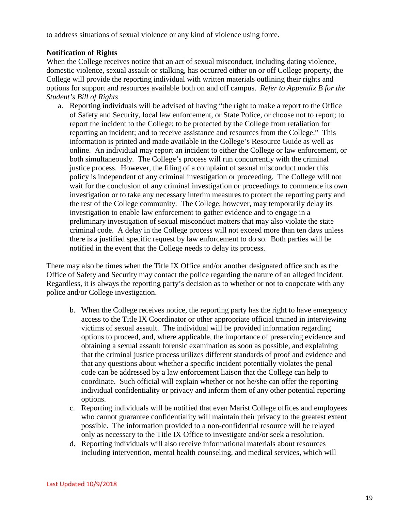to address situations of sexual violence or any kind of violence using force.

#### **Notification of Rights**

When the College receives notice that an act of sexual misconduct, including dating violence, domestic violence, sexual assault or stalking, has occurred either on or off College property, the College will provide the reporting individual with written materials outlining their rights and options for support and resources available both on and off campus. *Refer to Appendix B for the Student's Bill of Rights* 

a. Reporting individuals will be advised of having "the right to make a report to the Office of Safety and Security, local law enforcement, or State Police, or choose not to report; to report the incident to the College; to be protected by the College from retaliation for reporting an incident; and to receive assistance and resources from the College." This information is printed and made available in the College's Resource Guide as well as online. An individual may report an incident to either the College or law enforcement, or both simultaneously. The College's process will run concurrently with the criminal justice process. However, the filing of a complaint of sexual misconduct under this policy is independent of any criminal investigation or proceeding. The College will not wait for the conclusion of any criminal investigation or proceedings to commence its own investigation or to take any necessary interim measures to protect the reporting party and the rest of the College community. The College, however, may temporarily delay its investigation to enable law enforcement to gather evidence and to engage in a preliminary investigation of sexual misconduct matters that may also violate the state criminal code. A delay in the College process will not exceed more than ten days unless there is a justified specific request by law enforcement to do so. Both parties will be notified in the event that the College needs to delay its process.

There may also be times when the Title IX Office and/or another designated office such as the Office of Safety and Security may contact the police regarding the nature of an alleged incident. Regardless, it is always the reporting party's decision as to whether or not to cooperate with any police and/or College investigation.

- b. When the College receives notice, the reporting party has the right to have emergency access to the Title IX Coordinator or other appropriate official trained in interviewing victims of sexual assault. The individual will be provided information regarding options to proceed, and, where applicable, the importance of preserving evidence and obtaining a sexual assault forensic examination as soon as possible, and explaining that the criminal justice process utilizes different standards of proof and evidence and that any questions about whether a specific incident potentially violates the penal code can be addressed by a law enforcement liaison that the College can help to coordinate. Such official will explain whether or not he/she can offer the reporting individual confidentiality or privacy and inform them of any other potential reporting options.
- c. Reporting individuals will be notified that even Marist College offices and employees who cannot guarantee confidentiality will maintain their privacy to the greatest extent possible. The information provided to a non-confidential resource will be relayed only as necessary to the Title IX Office to investigate and/or seek a resolution.
- d. Reporting individuals will also receive informational materials about resources including intervention, mental health counseling, and medical services, which will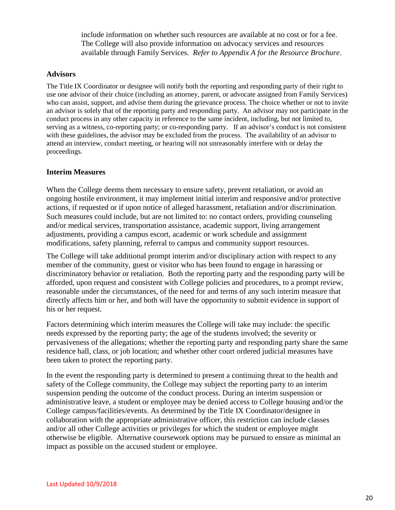include information on whether such resources are available at no cost or for a fee. The College will also provide information on advocacy services and resources available through Family Services. *Refer to Appendix A for the Resource Brochure*.

#### **Advisors**

The Title IX Coordinator or designee will notify both the reporting and responding party of their right to use one advisor of their choice (including an attorney, parent, or advocate assigned from Family Services) who can assist, support, and advise them during the grievance process. The choice whether or not to invite an advisor is solely that of the reporting party and responding party. An advisor may not participate in the conduct process in any other capacity in reference to the same incident, including, but not limited to, serving as a witness, co-reporting party; or co-responding party. If an advisor's conduct is not consistent with these guidelines, the advisor may be excluded from the process. The availability of an advisor to attend an interview, conduct meeting, or hearing will not unreasonably interfere with or delay the proceedings.

#### **Interim Measures**

When the College deems them necessary to ensure safety, prevent retaliation, or avoid an ongoing hostile environment, it may implement initial interim and responsive and/or protective actions, if requested or if upon notice of alleged harassment, retaliation and/or discrimination. Such measures could include, but are not limited to: no contact orders, providing counseling and/or medical services, transportation assistance, academic support, living arrangement adjustments, providing a campus escort, academic or work schedule and assignment modifications, safety planning, referral to campus and community support resources.

The College will take additional prompt interim and/or disciplinary action with respect to any member of the community, guest or visitor who has been found to engage in harassing or discriminatory behavior or retaliation. Both the reporting party and the responding party will be afforded, upon request and consistent with College policies and procedures, to a prompt review, reasonable under the circumstances, of the need for and terms of any such interim measure that directly affects him or her, and both will have the opportunity to submit evidence in support of his or her request.

Factors determining which interim measures the College will take may include: the specific needs expressed by the reporting party; the age of the students involved; the severity or pervasiveness of the allegations; whether the reporting party and responding party share the same residence hall, class, or job location; and whether other court ordered judicial measures have been taken to protect the reporting party.

In the event the responding party is determined to present a continuing threat to the health and safety of the College community, the College may subject the reporting party to an interim suspension pending the outcome of the conduct process. During an interim suspension or administrative leave, a student or employee may be denied access to College housing and/or the College campus/facilities/events. As determined by the Title IX Coordinator/designee in collaboration with the appropriate administrative officer, this restriction can include classes and/or all other College activities or privileges for which the student or employee might otherwise be eligible. Alternative coursework options may be pursued to ensure as minimal an impact as possible on the accused student or employee.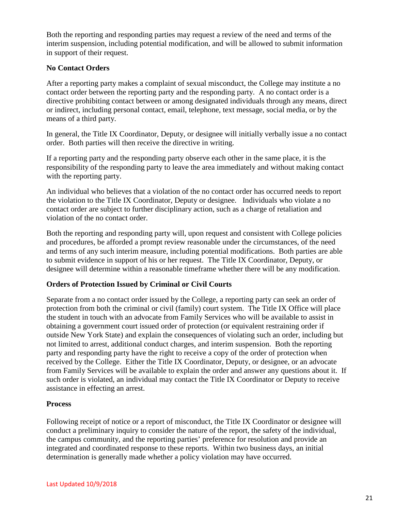Both the reporting and responding parties may request a review of the need and terms of the interim suspension, including potential modification, and will be allowed to submit information in support of their request.

#### **No Contact Orders**

After a reporting party makes a complaint of sexual misconduct, the College may institute a no contact order between the reporting party and the responding party. A no contact order is a directive prohibiting contact between or among designated individuals through any means, direct or indirect, including personal contact, email, telephone, text message, social media, or by the means of a third party.

In general, the Title IX Coordinator, Deputy, or designee will initially verbally issue a no contact order. Both parties will then receive the directive in writing.

If a reporting party and the responding party observe each other in the same place, it is the responsibility of the responding party to leave the area immediately and without making contact with the reporting party.

An individual who believes that a violation of the no contact order has occurred needs to report the violation to the Title IX Coordinator, Deputy or designee. Individuals who violate a no contact order are subject to further disciplinary action, such as a charge of retaliation and violation of the no contact order.

Both the reporting and responding party will, upon request and consistent with College policies and procedures, be afforded a prompt review reasonable under the circumstances, of the need and terms of any such interim measure, including potential modifications. Both parties are able to submit evidence in support of his or her request. The Title IX Coordinator, Deputy, or designee will determine within a reasonable timeframe whether there will be any modification.

#### **Orders of Protection Issued by Criminal or Civil Courts**

Separate from a no contact order issued by the College, a reporting party can seek an order of protection from both the criminal or civil (family) court system. The Title IX Office will place the student in touch with an advocate from Family Services who will be available to assist in obtaining a government court issued order of protection (or equivalent restraining order if outside New York State) and explain the consequences of violating such an order, including but not limited to arrest, additional conduct charges, and interim suspension. Both the reporting party and responding party have the right to receive a copy of the order of protection when received by the College. Either the Title IX Coordinator, Deputy, or designee, or an advocate from Family Services will be available to explain the order and answer any questions about it. If such order is violated, an individual may contact the Title IX Coordinator or Deputy to receive assistance in effecting an arrest.

#### **Process**

Following receipt of notice or a report of misconduct, the Title IX Coordinator or designee will conduct a preliminary inquiry to consider the nature of the report, the safety of the individual, the campus community, and the reporting parties' preference for resolution and provide an integrated and coordinated response to these reports. Within two business days, an initial determination is generally made whether a policy violation may have occurred.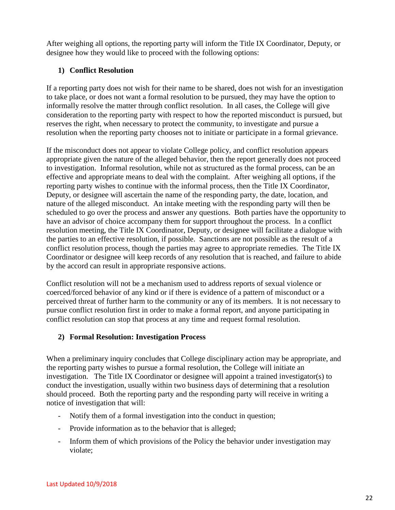After weighing all options, the reporting party will inform the Title IX Coordinator, Deputy, or designee how they would like to proceed with the following options:

#### **1) Conflict Resolution**

If a reporting party does not wish for their name to be shared, does not wish for an investigation to take place, or does not want a formal resolution to be pursued, they may have the option to informally resolve the matter through conflict resolution. In all cases, the College will give consideration to the reporting party with respect to how the reported misconduct is pursued, but reserves the right, when necessary to protect the community, to investigate and pursue a resolution when the reporting party chooses not to initiate or participate in a formal grievance.

If the misconduct does not appear to violate College policy, and conflict resolution appears appropriate given the nature of the alleged behavior, then the report generally does not proceed to investigation. Informal resolution, while not as structured as the formal process, can be an effective and appropriate means to deal with the complaint. After weighing all options, if the reporting party wishes to continue with the informal process, then the Title IX Coordinator, Deputy, or designee will ascertain the name of the responding party, the date, location, and nature of the alleged misconduct. An intake meeting with the responding party will then be scheduled to go over the process and answer any questions. Both parties have the opportunity to have an advisor of choice accompany them for support throughout the process. In a conflict resolution meeting, the Title IX Coordinator, Deputy, or designee will facilitate a dialogue with the parties to an effective resolution, if possible. Sanctions are not possible as the result of a conflict resolution process, though the parties may agree to appropriate remedies. The Title IX Coordinator or designee will keep records of any resolution that is reached, and failure to abide by the accord can result in appropriate responsive actions.

Conflict resolution will not be a mechanism used to address reports of sexual violence or coerced/forced behavior of any kind or if there is evidence of a pattern of misconduct or a perceived threat of further harm to the community or any of its members. It is not necessary to pursue conflict resolution first in order to make a formal report, and anyone participating in conflict resolution can stop that process at any time and request formal resolution.

#### **2) Formal Resolution: Investigation Process**

When a preliminary inquiry concludes that College disciplinary action may be appropriate, and the reporting party wishes to pursue a formal resolution, the College will initiate an investigation. The Title IX Coordinator or designee will appoint a trained investigator(s) to conduct the investigation, usually within two business days of determining that a resolution should proceed. Both the reporting party and the responding party will receive in writing a notice of investigation that will:

- Notify them of a formal investigation into the conduct in question;
- Provide information as to the behavior that is alleged;
- Inform them of which provisions of the Policy the behavior under investigation may violate;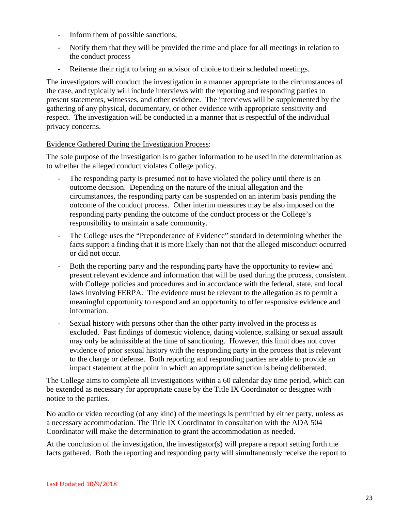- Inform them of possible sanctions;
- Notify them that they will be provided the time and place for all meetings in relation to the conduct process
- Reiterate their right to bring an advisor of choice to their scheduled meetings.

The investigators will conduct the investigation in a manner appropriate to the circumstances of the case, and typically will include interviews with the reporting and responding parties to present statements, witnesses, and other evidence. The interviews will be supplemented by the gathering of any physical, documentary, or other evidence with appropriate sensitivity and respect. The investigation will be conducted in a manner that is respectful of the individual privacy concerns.

#### Evidence Gathered During the Investigation Process:

The sole purpose of the investigation is to gather information to be used in the determination as to whether the alleged conduct violates College policy.

- The responding party is presumed not to have violated the policy until there is an outcome decision. Depending on the nature of the initial allegation and the circumstances, the responding party can be suspended on an interim basis pending the outcome of the conduct process. Other interim measures may be also imposed on the responding party pending the outcome of the conduct process or the College's responsibility to maintain a safe community.
- The College uses the "Preponderance of Evidence" standard in determining whether the facts support a finding that it is more likely than not that the alleged misconduct occurred or did not occur.
- Both the reporting party and the responding party have the opportunity to review and present relevant evidence and information that will be used during the process, consistent with College policies and procedures and in accordance with the federal, state, and local laws involving FERPA. The evidence must be relevant to the allegation as to permit a meaningful opportunity to respond and an opportunity to offer responsive evidence and information.
- Sexual history with persons other than the other party involved in the process is excluded. Past findings of domestic violence, dating violence, stalking or sexual assault may only be admissible at the time of sanctioning. However, this limit does not cover evidence of prior sexual history with the responding party in the process that is relevant to the charge or defense. Both reporting and responding parties are able to provide an impact statement at the point in which an appropriate sanction is being deliberated.

The College aims to complete all investigations within a 60 calendar day time period, which can be extended as necessary for appropriate cause by the Title IX Coordinator or designee with notice to the parties.

No audio or video recording (of any kind) of the meetings is permitted by either party, unless as a necessary accommodation. The Title IX Coordinator in consultation with the ADA 504 Coordinator will make the determination to grant the accommodation as needed.

At the conclusion of the investigation, the investigator(s) will prepare a report setting forth the facts gathered. Both the reporting and responding party will simultaneously receive the report to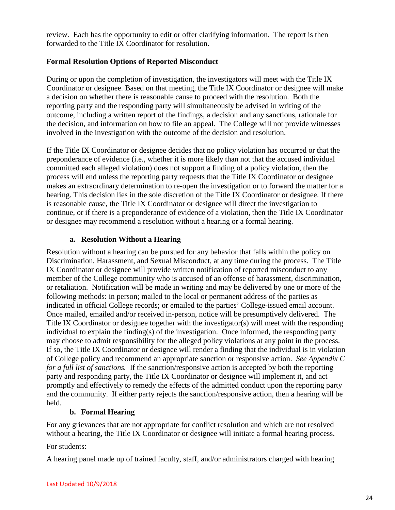review. Each has the opportunity to edit or offer clarifying information. The report is then forwarded to the Title IX Coordinator for resolution.

#### **Formal Resolution Options of Reported Misconduct**

During or upon the completion of investigation, the investigators will meet with the Title IX Coordinator or designee. Based on that meeting, the Title IX Coordinator or designee will make a decision on whether there is reasonable cause to proceed with the resolution. Both the reporting party and the responding party will simultaneously be advised in writing of the outcome, including a written report of the findings, a decision and any sanctions, rationale for the decision, and information on how to file an appeal. The College will not provide witnesses involved in the investigation with the outcome of the decision and resolution.

If the Title IX Coordinator or designee decides that no policy violation has occurred or that the preponderance of evidence (i.e., whether it is more likely than not that the accused individual committed each alleged violation) does not support a finding of a policy violation, then the process will end unless the reporting party requests that the Title IX Coordinator or designee makes an extraordinary determination to re-open the investigation or to forward the matter for a hearing. This decision lies in the sole discretion of the Title IX Coordinator or designee. If there is reasonable cause, the Title IX Coordinator or designee will direct the investigation to continue, or if there is a preponderance of evidence of a violation, then the Title IX Coordinator or designee may recommend a resolution without a hearing or a formal hearing.

#### **a. Resolution Without a Hearing**

Resolution without a hearing can be pursued for any behavior that falls within the policy on Discrimination, Harassment, and Sexual Misconduct, at any time during the process. The Title IX Coordinator or designee will provide written notification of reported misconduct to any member of the College community who is accused of an offense of harassment, discrimination, or retaliation. Notification will be made in writing and may be delivered by one or more of the following methods: in person; mailed to the local or permanent address of the parties as indicated in official College records; or emailed to the parties' College-issued email account. Once mailed, emailed and/or received in-person, notice will be presumptively delivered. The Title IX Coordinator or designee together with the investigator(s) will meet with the responding individual to explain the finding(s) of the investigation. Once informed, the responding party may choose to admit responsibility for the alleged policy violations at any point in the process. If so, the Title IX Coordinator or designee will render a finding that the individual is in violation of College policy and recommend an appropriate sanction or responsive action. *See Appendix C for a full list of sanctions.* If the sanction/responsive action is accepted by both the reporting party and responding party, the Title IX Coordinator or designee will implement it, and act promptly and effectively to remedy the effects of the admitted conduct upon the reporting party and the community. If either party rejects the sanction/responsive action, then a hearing will be held.

#### **b. Formal Hearing**

For any grievances that are not appropriate for conflict resolution and which are not resolved without a hearing, the Title IX Coordinator or designee will initiate a formal hearing process.

#### For students:

A hearing panel made up of trained faculty, staff, and/or administrators charged with hearing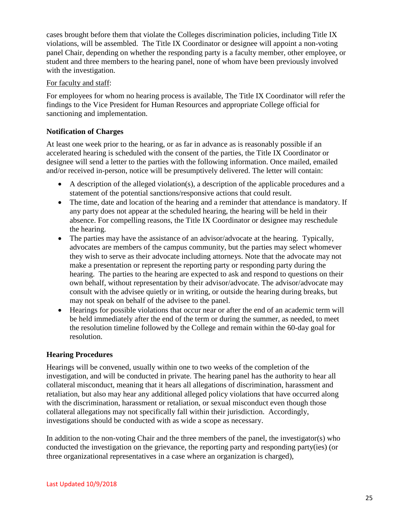cases brought before them that violate the Colleges discrimination policies, including Title IX violations, will be assembled. The Title IX Coordinator or designee will appoint a non-voting panel Chair, depending on whether the responding party is a faculty member, other employee, or student and three members to the hearing panel, none of whom have been previously involved with the investigation.

#### For faculty and staff:

For employees for whom no hearing process is available, The Title IX Coordinator will refer the findings to the Vice President for Human Resources and appropriate College official for sanctioning and implementation.

#### **Notification of Charges**

At least one week prior to the hearing, or as far in advance as is reasonably possible if an accelerated hearing is scheduled with the consent of the parties, the Title IX Coordinator or designee will send a letter to the parties with the following information. Once mailed, emailed and/or received in-person, notice will be presumptively delivered. The letter will contain:

- A description of the alleged violation(s), a description of the applicable procedures and a statement of the potential sanctions/responsive actions that could result.
- The time, date and location of the hearing and a reminder that attendance is mandatory. If any party does not appear at the scheduled hearing, the hearing will be held in their absence. For compelling reasons, the Title IX Coordinator or designee may reschedule the hearing.
- The parties may have the assistance of an advisor/advocate at the hearing. Typically, advocates are members of the campus community, but the parties may select whomever they wish to serve as their advocate including attorneys. Note that the advocate may not make a presentation or represent the reporting party or responding party during the hearing. The parties to the hearing are expected to ask and respond to questions on their own behalf, without representation by their advisor/advocate. The advisor/advocate may consult with the advisee quietly or in writing, or outside the hearing during breaks, but may not speak on behalf of the advisee to the panel.
- Hearings for possible violations that occur near or after the end of an academic term will be held immediately after the end of the term or during the summer, as needed, to meet the resolution timeline followed by the College and remain within the 60-day goal for resolution.

#### **Hearing Procedures**

Hearings will be convened, usually within one to two weeks of the completion of the investigation, and will be conducted in private. The hearing panel has the authority to hear all collateral misconduct, meaning that it hears all allegations of discrimination, harassment and retaliation, but also may hear any additional alleged policy violations that have occurred along with the discrimination, harassment or retaliation, or sexual misconduct even though those collateral allegations may not specifically fall within their jurisdiction. Accordingly, investigations should be conducted with as wide a scope as necessary.

In addition to the non-voting Chair and the three members of the panel, the investigator(s) who conducted the investigation on the grievance, the reporting party and responding party(ies) (or three organizational representatives in a case where an organization is charged),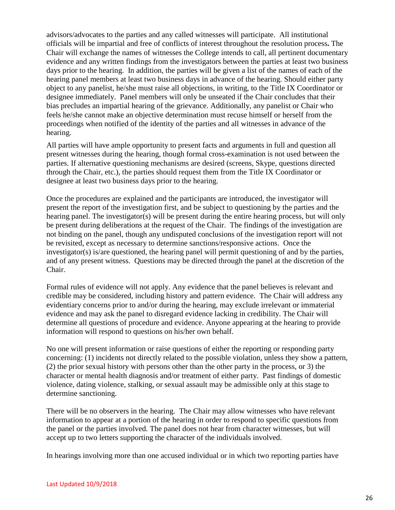advisors/advocates to the parties and any called witnesses will participate. All institutional officials will be impartial and free of conflicts of interest throughout the resolution process**.** The Chair will exchange the names of witnesses the College intends to call, all pertinent documentary evidence and any written findings from the investigators between the parties at least two business days prior to the hearing. In addition, the parties will be given a list of the names of each of the hearing panel members at least two business days in advance of the hearing. Should either party object to any panelist, he/she must raise all objections, in writing, to the Title IX Coordinator or designee immediately. Panel members will only be unseated if the Chair concludes that their bias precludes an impartial hearing of the grievance. Additionally, any panelist or Chair who feels he/she cannot make an objective determination must recuse himself or herself from the proceedings when notified of the identity of the parties and all witnesses in advance of the hearing.

All parties will have ample opportunity to present facts and arguments in full and question all present witnesses during the hearing, though formal cross-examination is not used between the parties. If alternative questioning mechanisms are desired (screens, Skype, questions directed through the Chair, etc.), the parties should request them from the Title IX Coordinator or designee at least two business days prior to the hearing.

Once the procedures are explained and the participants are introduced, the investigator will present the report of the investigation first, and be subject to questioning by the parties and the hearing panel. The investigator(s) will be present during the entire hearing process, but will only be present during deliberations at the request of the Chair. The findings of the investigation are not binding on the panel, though any undisputed conclusions of the investigation report will not be revisited, except as necessary to determine sanctions/responsive actions. Once the investigator(s) is/are questioned, the hearing panel will permit questioning of and by the parties, and of any present witness. Questions may be directed through the panel at the discretion of the Chair.

Formal rules of evidence will not apply. Any evidence that the panel believes is relevant and credible may be considered, including history and pattern evidence. The Chair will address any evidentiary concerns prior to and/or during the hearing, may exclude irrelevant or immaterial evidence and may ask the panel to disregard evidence lacking in credibility. The Chair will determine all questions of procedure and evidence. Anyone appearing at the hearing to provide information will respond to questions on his/her own behalf.

No one will present information or raise questions of either the reporting or responding party concerning: (1) incidents not directly related to the possible violation, unless they show a pattern, (2) the prior sexual history with persons other than the other party in the process, or 3) the character or mental health diagnosis and/or treatment of either party. Past findings of domestic violence, dating violence, stalking, or sexual assault may be admissible only at this stage to determine sanctioning.

There will be no observers in the hearing. The Chair may allow witnesses who have relevant information to appear at a portion of the hearing in order to respond to specific questions from the panel or the parties involved. The panel does not hear from character witnesses, but will accept up to two letters supporting the character of the individuals involved.

In hearings involving more than one accused individual or in which two reporting parties have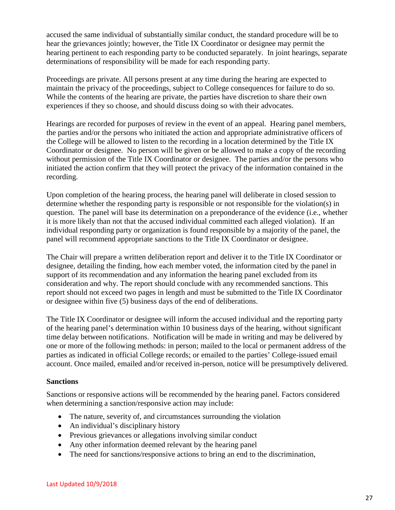accused the same individual of substantially similar conduct, the standard procedure will be to hear the grievances jointly; however, the Title IX Coordinator or designee may permit the hearing pertinent to each responding party to be conducted separately. In joint hearings, separate determinations of responsibility will be made for each responding party.

Proceedings are private. All persons present at any time during the hearing are expected to maintain the privacy of the proceedings, subject to College consequences for failure to do so. While the contents of the hearing are private, the parties have discretion to share their own experiences if they so choose, and should discuss doing so with their advocates.

Hearings are recorded for purposes of review in the event of an appeal. Hearing panel members, the parties and/or the persons who initiated the action and appropriate administrative officers of the College will be allowed to listen to the recording in a location determined by the Title IX Coordinator or designee. No person will be given or be allowed to make a copy of the recording without permission of the Title IX Coordinator or designee. The parties and/or the persons who initiated the action confirm that they will protect the privacy of the information contained in the recording.

Upon completion of the hearing process, the hearing panel will deliberate in closed session to determine whether the responding party is responsible or not responsible for the violation(s) in question. The panel will base its determination on a preponderance of the evidence (i.e., whether it is more likely than not that the accused individual committed each alleged violation). If an individual responding party or organization is found responsible by a majority of the panel, the panel will recommend appropriate sanctions to the Title IX Coordinator or designee.

The Chair will prepare a written deliberation report and deliver it to the Title IX Coordinator or designee, detailing the finding, how each member voted, the information cited by the panel in support of its recommendation and any information the hearing panel excluded from its consideration and why. The report should conclude with any recommended sanctions. This report should not exceed two pages in length and must be submitted to the Title IX Coordinator or designee within five (5) business days of the end of deliberations.

The Title IX Coordinator or designee will inform the accused individual and the reporting party of the hearing panel's determination within 10 business days of the hearing, without significant time delay between notifications. Notification will be made in writing and may be delivered by one or more of the following methods: in person; mailed to the local or permanent address of the parties as indicated in official College records; or emailed to the parties' College-issued email account. Once mailed, emailed and/or received in-person, notice will be presumptively delivered.

#### **Sanctions**

Sanctions or responsive actions will be recommended by the hearing panel. Factors considered when determining a sanction/responsive action may include:

- The nature, severity of, and circumstances surrounding the violation
- An individual's disciplinary history
- Previous grievances or allegations involving similar conduct
- Any other information deemed relevant by the hearing panel
- The need for sanctions/responsive actions to bring an end to the discrimination,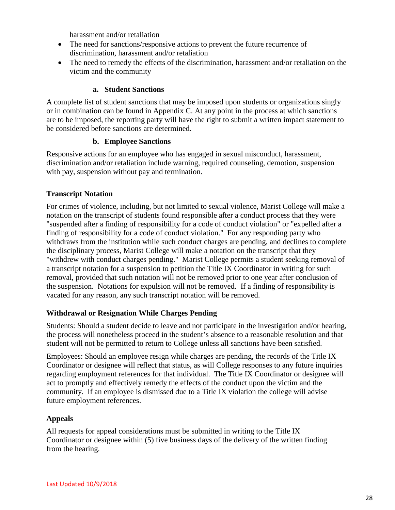harassment and/or retaliation

- The need for sanctions/responsive actions to prevent the future recurrence of discrimination, harassment and/or retaliation
- The need to remedy the effects of the discrimination, harassment and/or retaliation on the victim and the community

#### **a. Student Sanctions**

A complete list of student sanctions that may be imposed upon students or organizations singly or in combination can be found in Appendix C. At any point in the process at which sanctions are to be imposed, the reporting party will have the right to submit a written impact statement to be considered before sanctions are determined.

#### **b. Employee Sanctions**

Responsive actions for an employee who has engaged in sexual misconduct, harassment, discrimination and/or retaliation include warning, required counseling, demotion, suspension with pay, suspension without pay and termination.

#### **Transcript Notation**

For crimes of violence, including, but not limited to sexual violence, Marist College will make a notation on the transcript of students found responsible after a conduct process that they were "suspended after a finding of responsibility for a code of conduct violation" or "expelled after a finding of responsibility for a code of conduct violation." For any responding party who withdraws from the institution while such conduct charges are pending, and declines to complete the disciplinary process, Marist College will make a notation on the transcript that they "withdrew with conduct charges pending." Marist College permits a student seeking removal of a transcript notation for a suspension to petition the Title IX Coordinator in writing for such removal, provided that such notation will not be removed prior to one year after conclusion of the suspension. Notations for expulsion will not be removed. If a finding of responsibility is vacated for any reason, any such transcript notation will be removed.

#### **Withdrawal or Resignation While Charges Pending**

Students: Should a student decide to leave and not participate in the investigation and/or hearing, the process will nonetheless proceed in the student's absence to a reasonable resolution and that student will not be permitted to return to College unless all sanctions have been satisfied.

Employees: Should an employee resign while charges are pending, the records of the Title IX Coordinator or designee will reflect that status, as will College responses to any future inquiries regarding employment references for that individual. The Title IX Coordinator or designee will act to promptly and effectively remedy the effects of the conduct upon the victim and the community. If an employee is dismissed due to a Title IX violation the college will advise future employment references.

#### **Appeals**

All requests for appeal considerations must be submitted in writing to the Title IX Coordinator or designee within (5) five business days of the delivery of the written finding from the hearing.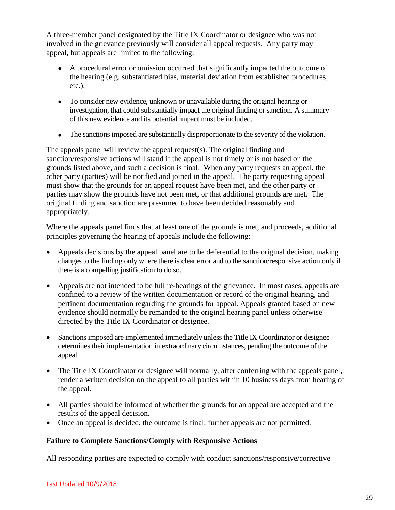A three-member panel designated by the Title IX Coordinator or designee who was not involved in the grievance previously will consider all appeal requests. Any party may appeal, but appeals are limited to the following:

- A procedural error or omission occurred that significantly impacted the outcome of the hearing (e.g. substantiated bias, material deviation from established procedures, etc.).
- To consider new evidence, unknown or unavailable during the original hearing or investigation, that could substantially impact the original finding or sanction. A summary of this new evidence and its potential impact must be included.
- The sanctions imposed are substantially disproportionate to the severity of the violation.

The appeals panel will review the appeal request(s). The original finding and sanction/responsive actions will stand if the appeal is not timely or is not based on the grounds listed above, and such a decision is final. When any party requests an appeal, the other party (parties) will be notified and joined in the appeal. The party requesting appeal must show that the grounds for an appeal request have been met, and the other party or parties may show the grounds have not been met, or that additional grounds are met. The original finding and sanction are presumed to have been decided reasonably and appropriately.

Where the appeals panel finds that at least one of the grounds is met, and proceeds, additional principles governing the hearing of appeals include the following:

- Appeals decisions by the appeal panel are to be deferential to the original decision, making changes to the finding only where there is clear error and to the sanction/responsive action only if there is a compelling justification to do so.
- Appeals are not intended to be full re-hearings of the grievance. In most cases, appeals are confined to a review of the written documentation or record of the original hearing, and pertinent documentation regarding the grounds for appeal. Appeals granted based on new evidence should normally be remanded to the original hearing panel unless otherwise directed by the Title IX Coordinator or designee.
- Sanctions imposed are implemented immediately unless the Title IX Coordinator or designee determines their implementation in extraordinary circumstances, pending the outcome of the appeal.
- The Title IX Coordinator or designee will normally, after conferring with the appeals panel, render a written decision on the appeal to all parties within 10 business days from hearing of the appeal.
- All parties should be informed of whether the grounds for an appeal are accepted and the results of the appeal decision.
- Once an appeal is decided, the outcome is final: further appeals are not permitted.

#### **Failure to Complete Sanctions/Comply with Responsive Actions**

All responding parties are expected to comply with conduct sanctions/responsive/corrective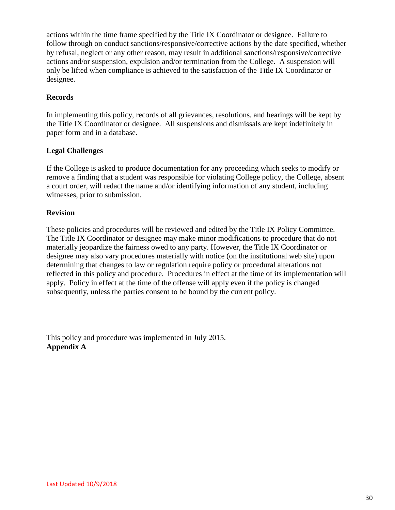actions within the time frame specified by the Title IX Coordinator or designee. Failure to follow through on conduct sanctions/responsive/corrective actions by the date specified, whether by refusal, neglect or any other reason, may result in additional sanctions/responsive/corrective actions and/or suspension, expulsion and/or termination from the College. A suspension will only be lifted when compliance is achieved to the satisfaction of the Title IX Coordinator or designee.

#### **Records**

In implementing this policy, records of all grievances, resolutions, and hearings will be kept by the Title IX Coordinator or designee. All suspensions and dismissals are kept indefinitely in paper form and in a database.

#### **Legal Challenges**

If the College is asked to produce documentation for any proceeding which seeks to modify or remove a finding that a student was responsible for violating College policy, the College, absent a court order, will redact the name and/or identifying information of any student, including witnesses, prior to submission.

#### **Revision**

These policies and procedures will be reviewed and edited by the Title IX Policy Committee. The Title IX Coordinator or designee may make minor modifications to procedure that do not materially jeopardize the fairness owed to any party. However, the Title IX Coordinator or designee may also vary procedures materially with notice (on the institutional web site) upon determining that changes to law or regulation require policy or procedural alterations not reflected in this policy and procedure. Procedures in effect at the time of its implementation will apply. Policy in effect at the time of the offense will apply even if the policy is changed subsequently, unless the parties consent to be bound by the current policy.

This policy and procedure was implemented in July 2015. **Appendix A**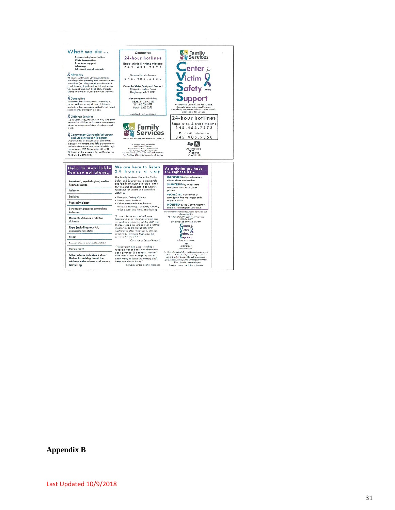

**Appendix B**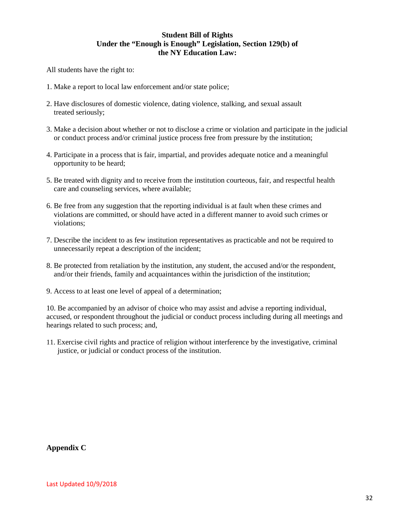#### **Student Bill of Rights Under the "Enough is Enough" Legislation, Section 129(b) of the NY Education Law:**

All students have the right to:

- 1. Make a report to local law enforcement and/or state police;
- 2. Have disclosures of domestic violence, dating violence, stalking, and sexual assault treated seriously;
- 3. Make a decision about whether or not to disclose a crime or violation and participate in the judicial or conduct process and/or criminal justice process free from pressure by the institution;
- 4. Participate in a process that is fair, impartial, and provides adequate notice and a meaningful opportunity to be heard;
- 5. Be treated with dignity and to receive from the institution courteous, fair, and respectful health care and counseling services, where available;
- 6. Be free from any suggestion that the reporting individual is at fault when these crimes and violations are committed, or should have acted in a different manner to avoid such crimes or violations;
- 7. Describe the incident to as few institution representatives as practicable and not be required to unnecessarily repeat a description of the incident;
- 8. Be protected from retaliation by the institution, any student, the accused and/or the respondent, and/or their friends, family and acquaintances within the jurisdiction of the institution;
- 9. Access to at least one level of appeal of a determination;

10. Be accompanied by an advisor of choice who may assist and advise a reporting individual, accused, or respondent throughout the judicial or conduct process including during all meetings and hearings related to such process; and,

11. Exercise civil rights and practice of religion without interference by the investigative, criminal justice, or judicial or conduct process of the institution.

**Appendix C**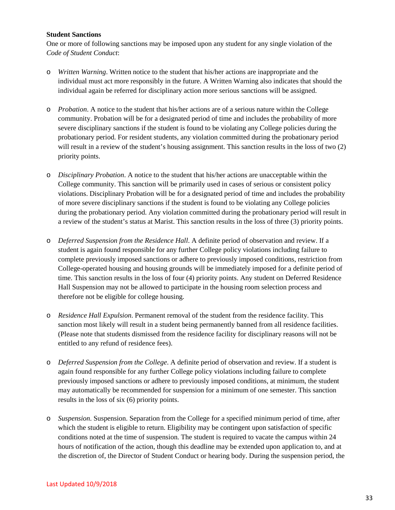#### **Student Sanctions**

One or more of following sanctions may be imposed upon any student for any single violation of the *Code of Student Conduct*:

- o *Written Warning*. Written notice to the student that his/her actions are inappropriate and the individual must act more responsibly in the future. A Written Warning also indicates that should the individual again be referred for disciplinary action more serious sanctions will be assigned.
- o *Probation*. A notice to the student that his/her actions are of a serious nature within the College community. Probation will be for a designated period of time and includes the probability of more severe disciplinary sanctions if the student is found to be violating any College policies during the probationary period. For resident students, any violation committed during the probationary period will result in a review of the student's housing assignment. This sanction results in the loss of two (2) priority points.
- o *Disciplinary Probation*. A notice to the student that his/her actions are unacceptable within the College community. This sanction will be primarily used in cases of serious or consistent policy violations. Disciplinary Probation will be for a designated period of time and includes the probability of more severe disciplinary sanctions if the student is found to be violating any College policies during the probationary period. Any violation committed during the probationary period will result in a review of the student's status at Marist. This sanction results in the loss of three (3) priority points.
- o *Deferred Suspension from the Residence Hall*. A definite period of observation and review. If a student is again found responsible for any further College policy violations including failure to complete previously imposed sanctions or adhere to previously imposed conditions, restriction from College-operated housing and housing grounds will be immediately imposed for a definite period of time. This sanction results in the loss of four (4) priority points. Any student on Deferred Residence Hall Suspension may not be allowed to participate in the housing room selection process and therefore not be eligible for college housing.
- o *Residence Hall Expulsion*. Permanent removal of the student from the residence facility. This sanction most likely will result in a student being permanently banned from all residence facilities. (Please note that students dismissed from the residence facility for disciplinary reasons will not be entitled to any refund of residence fees).
- o *Deferred Suspension from the College*. A definite period of observation and review. If a student is again found responsible for any further College policy violations including failure to complete previously imposed sanctions or adhere to previously imposed conditions, at minimum, the student may automatically be recommended for suspension for a minimum of one semester. This sanction results in the loss of six (6) priority points.
- o *Suspension*. Suspension. Separation from the College for a specified minimum period of time, after which the student is eligible to return. Eligibility may be contingent upon satisfaction of specific conditions noted at the time of suspension. The student is required to vacate the campus within 24 hours of notification of the action, though this deadline may be extended upon application to, and at the discretion of, the Director of Student Conduct or hearing body. During the suspension period, the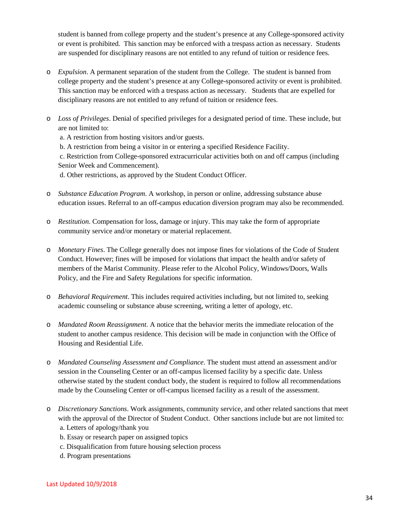student is banned from college property and the student's presence at any College-sponsored activity or event is prohibited. This sanction may be enforced with a trespass action as necessary. Students are suspended for disciplinary reasons are not entitled to any refund of tuition or residence fees.

- o *Expulsion*. A permanent separation of the student from the College. The student is banned from college property and the student's presence at any College-sponsored activity or event is prohibited. This sanction may be enforced with a trespass action as necessary. Students that are expelled for disciplinary reasons are not entitled to any refund of tuition or residence fees.
- o *Loss of Privileges*. Denial of specified privileges for a designated period of time. These include, but are not limited to:

a. A restriction from hosting visitors and/or guests.

b. A restriction from being a visitor in or entering a specified Residence Facility.

c. Restriction from College-sponsored extracurricular activities both on and off campus (including Senior Week and Commencement).

d. Other restrictions, as approved by the Student Conduct Officer.

- o *Substance Education Program*. A workshop, in person or online, addressing substance abuse education issues. Referral to an off-campus education diversion program may also be recommended.
- o *Restitution*. Compensation for loss, damage or injury. This may take the form of appropriate community service and/or monetary or material replacement.
- o *Monetary Fines*. The College generally does not impose fines for violations of the Code of Student Conduct. However; fines will be imposed for violations that impact the health and/or safety of members of the Marist Community. Please refer to the Alcohol Policy, Windows/Doors, Walls Policy, and the Fire and Safety Regulations for specific information.
- o *Behavioral Requirement*. This includes required activities including, but not limited to, seeking academic counseling or substance abuse screening, writing a letter of apology, etc.
- o *Mandated Room Reassignment*. A notice that the behavior merits the immediate relocation of the student to another campus residence. This decision will be made in conjunction with the Office of Housing and Residential Life.
- o *Mandated Counseling Assessment and Compliance*. The student must attend an assessment and/or session in the Counseling Center or an off-campus licensed facility by a specific date. Unless otherwise stated by the student conduct body, the student is required to follow all recommendations made by the Counseling Center or off-campus licensed facility as a result of the assessment.
- o *Discretionary Sanctions*. Work assignments, community service, and other related sanctions that meet with the approval of the Director of Student Conduct. Other sanctions include but are not limited to: a. Letters of apology/thank you
	- b. Essay or research paper on assigned topics
	- c. Disqualification from future housing selection process
	- d. Program presentations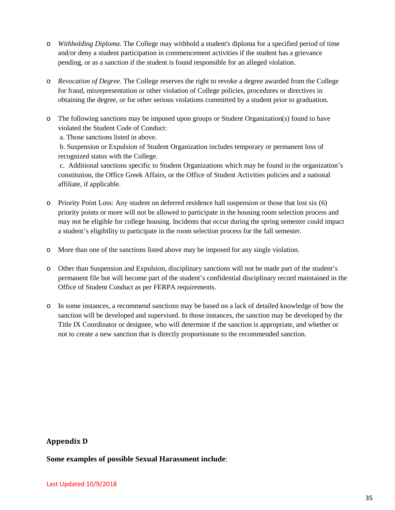- o *Withholding Diploma*. The College may withhold a student's diploma for a specified period of time and/or deny a student participation in commencement activities if the student has a grievance pending, or as a sanction if the student is found responsible for an alleged violation.
- o *Revocation of Degree.* The College reserves the right to revoke a degree awarded from the College for fraud, misrepresentation or other violation of College policies, procedures or directives in obtaining the degree, or for other serious violations committed by a student prior to graduation.
- o The following sanctions may be imposed upon groups or Student Organization(s) found to have violated the Student Code of Conduct:

a. Those sanctions listed in above.

b. Suspension or Expulsion of Student Organization includes temporary or permanent loss of recognized status with the College.

c. Additional sanctions specific to Student Organizations which may be found in the organization's constitution, the Office Greek Affairs, or the Office of Student Activities policies and a national affiliate, if applicable.

- o Priority Point Loss: Any student on deferred residence hall suspension or those that lost six (6) priority points or more will not be allowed to participate in the housing room selection process and may not be eligible for college housing. Incidents that occur during the spring semester could impact a student's eligibility to participate in the room selection process for the fall semester.
- o More than one of the sanctions listed above may be imposed for any single violation.
- o Other than Suspension and Expulsion, disciplinary sanctions will not be made part of the student's permanent file but will become part of the student's confidential disciplinary record maintained in the Office of Student Conduct as per FERPA requirements.
- o In some instances, a recommend sanctions may be based on a lack of detailed knowledge of how the sanction will be developed and supervised. In those instances, the sanction may be developed by the Title IX Coordinator or designee, who will determine if the sanction is appropriate, and whether or not to create a new sanction that is directly proportionate to the recommended sanction.

#### **Appendix D**

**Some examples of possible Sexual Harassment include**: